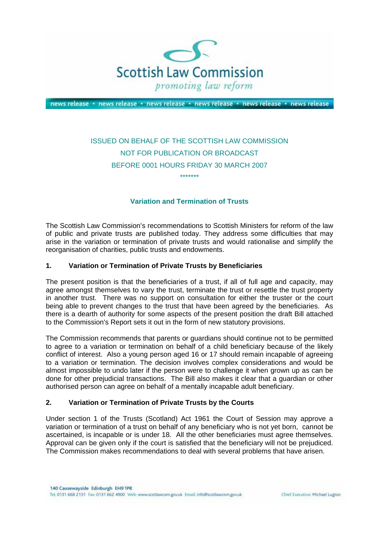

news release · news release · news release · news release · news release · news release

# ISSUED ON BEHALF OF THE SCOTTISH LAW COMMISSION NOT FOR PUBLICATION OR BROADCAST BEFORE 0001 HOURS FRIDAY 30 MARCH 2007

\*\*\*\*\*\*\*

## **Variation and Termination of Trusts**

The Scottish Law Commission's recommendations to Scottish Ministers for reform of the law of public and private trusts are published today. They address some difficulties that may arise in the variation or termination of private trusts and would rationalise and simplify the reorganisation of charities, public trusts and endowments.

#### **1. Variation or Termination of Private Trusts by Beneficiaries**

The present position is that the beneficiaries of a trust, if all of full age and capacity, may agree amongst themselves to vary the trust, terminate the trust or resettle the trust property in another trust. There was no support on consultation for either the truster or the court being able to prevent changes to the trust that have been agreed by the beneficiaries. As there is a dearth of authority for some aspects of the present position the draft Bill attached to the Commission's Report sets it out in the form of new statutory provisions.

The Commission recommends that parents or guardians should continue not to be permitted to agree to a variation or termination on behalf of a child beneficiary because of the likely conflict of interest. Also a young person aged 16 or 17 should remain incapable of agreeing to a variation or termination. The decision involves complex considerations and would be almost impossible to undo later if the person were to challenge it when grown up as can be done for other prejudicial transactions. The Bill also makes it clear that a guardian or other authorised person can agree on behalf of a mentally incapable adult beneficiary.

#### **2. Variation or Termination of Private Trusts by the Courts**

Under section 1 of the Trusts (Scotland) Act 1961 the Court of Session may approve a variation or termination of a trust on behalf of any beneficiary who is not yet born, cannot be ascertained, is incapable or is under 18. All the other beneficiaries must agree themselves. Approval can be given only if the court is satisfied that the beneficiary will not be prejudiced. The Commission makes recommendations to deal with several problems that have arisen.